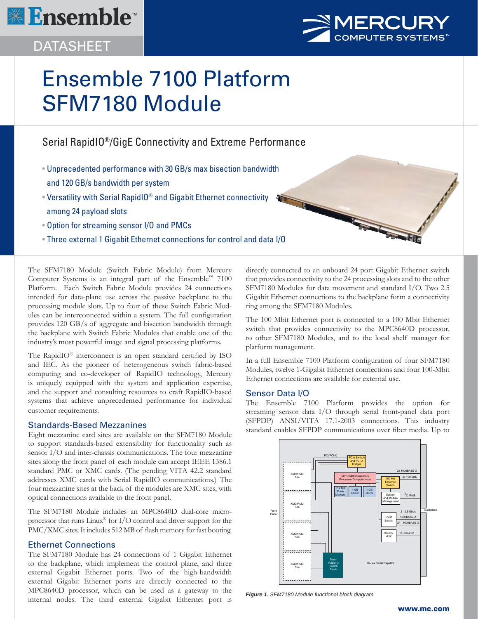





# Ensemble 7100 Platform SFM7180 Module

# Serial RapidIO®/GigE Connectivity and Extreme Performance

- Unprecedented performance with 30 GB/s max bisection bandwidth and 120 GB/s bandwidth per system
- Versatility with Serial RapidIO® and Gigabit Ethernet connectivity among 24 payload slots
- Option for streaming sensor I/O and PMCs
- Three external 1 Gigabit Ethernet connections for control and data I/O

The SFM7180 Module (Switch Fabric Module) from Mercury Computer Systems is an integral part of the Ensemble™ 7100 Platform. Each Switch Fabric Module provides 24 connections intended for data-plane use across the passive backplane to the processing module slots. Up to four of these Switch Fabric Modules can be interconnected within a system. The full configuration provides 120 GB/s of aggregate and bisection bandwidth through the backplane with Switch Fabric Modules that enable one of the industry's most powerful image and signal processing platforms.

The RapidIO $^{\circledR}$  interconnect is an open standard certified by ISO and IEC. As the pioneer of heterogeneous switch fabric-based computing and co-developer of RapidIO technology, Mercury is uniquely equipped with the system and application expertise, and the support and consulting resources to craft RapidIO-based systems that achieve unprecedented performance for individual customer requirements.

# Standards-Based Mezzanines

Eight mezzanine card sites are available on the SFM7180 Module to support standards-based extensibility for functionality such as sensor I/O and inter-chassis communications. The four mezzanine sites along the front panel of each module can accept IEEE 1386.1 standard PMC or XMC cards. (The pending VITA 42.2 standard addresses XMC cards with Serial RapidIO communications.) The four mezzanine sites at the back of the modules are XMC sites, with optical connections available to the front panel.

The SFM7180 Module includes an MPC8640D dual-core microprocessor that runs Linux® for I/O control and driver support for the PMC/XMC sites. It includes 512 MB of flash memory for fast booting.

# Ethernet Connections

The SFM7180 Module has 24 connections of 1 Gigabit Ethernet to the backplane, which implement the control plane, and three external Gigabit Ethernet ports. Two of the high-bandwidth external Gigabit Ethernet ports are directly connected to the MPC8640D processor, which can be used as a gateway to the internal nodes. The third external Gigabit Ethernet port is directly connected to an onboard 24-port Gigabit Ethernet switch that provides connectivity to the 24 processing slots and to the other SFM7180 Modules for data movement and standard I/O. Two 2.5 Gigabit Ethernet connections to the backplane form a connectivity ring among the SFM7180 Modules.

The 100 Mbit Ethernet port is connected to a 100 Mbit Ethernet switch that provides connectivity to the MPC8640D processor, to other SFM7180 Modules, and to the local shelf manager for platform management.

In a full Ensemble 7100 Platform configuration of four SFM7180 Modules, twelve 1-Gigabit Ethernet connections and four 100-Mbit Ethernet connections are available for external use.

# Sensor Data I/O

The Ensemble 7100 Platform provides the option for streaming sensor data I/O through serial front-panel data port (SFPDP) ANSI/VITA 17.1-2003 connections. This industry standard enables SFPDP communications over fiber media. Up to



*Figure 1. SFM7180 Module functional block diagram*